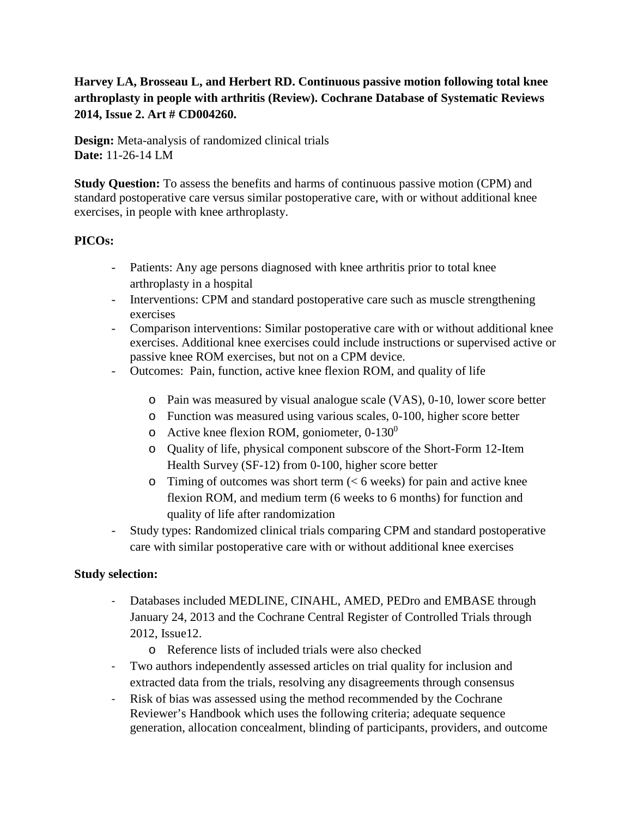# **Harvey LA, Brosseau L, and Herbert RD. Continuous passive motion following total knee arthroplasty in people with arthritis (Review). Cochrane Database of Systematic Reviews 2014, Issue 2. Art # CD004260.**

**Design:** Meta-analysis of randomized clinical trials **Date:** 11-26-14 LM

**Study Question:** To assess the benefits and harms of continuous passive motion (CPM) and standard postoperative care versus similar postoperative care, with or without additional knee exercises, in people with knee arthroplasty.

## **PICOs:**

- Patients: Any age persons diagnosed with knee arthritis prior to total knee arthroplasty in a hospital
- Interventions: CPM and standard postoperative care such as muscle strengthening exercises
- Comparison interventions: Similar postoperative care with or without additional knee exercises. Additional knee exercises could include instructions or supervised active or passive knee ROM exercises, but not on a CPM device.
- Outcomes: Pain, function, active knee flexion ROM, and quality of life
	- o Pain was measured by visual analogue scale (VAS), 0-10, lower score better
	- o Function was measured using various scales, 0-100, higher score better
	- o Active knee flexion ROM, goniometer,  $0-130^0$
	- o Quality of life, physical component subscore of the Short-Form 12-Item Health Survey (SF-12) from 0-100, higher score better
	- $\circ$  Timing of outcomes was short term ( $\lt 6$  weeks) for pain and active knee flexion ROM, and medium term (6 weeks to 6 months) for function and quality of life after randomization
- Study types: Randomized clinical trials comparing CPM and standard postoperative care with similar postoperative care with or without additional knee exercises

## **Study selection:**

- Databases included MEDLINE, CINAHL, AMED, PEDro and EMBASE through January 24, 2013 and the Cochrane Central Register of Controlled Trials through 2012, Issue12.
	- o Reference lists of included trials were also checked
- Two authors independently assessed articles on trial quality for inclusion and extracted data from the trials, resolving any disagreements through consensus
- Risk of bias was assessed using the method recommended by the Cochrane Reviewer's Handbook which uses the following criteria; adequate sequence generation, allocation concealment, blinding of participants, providers, and outcome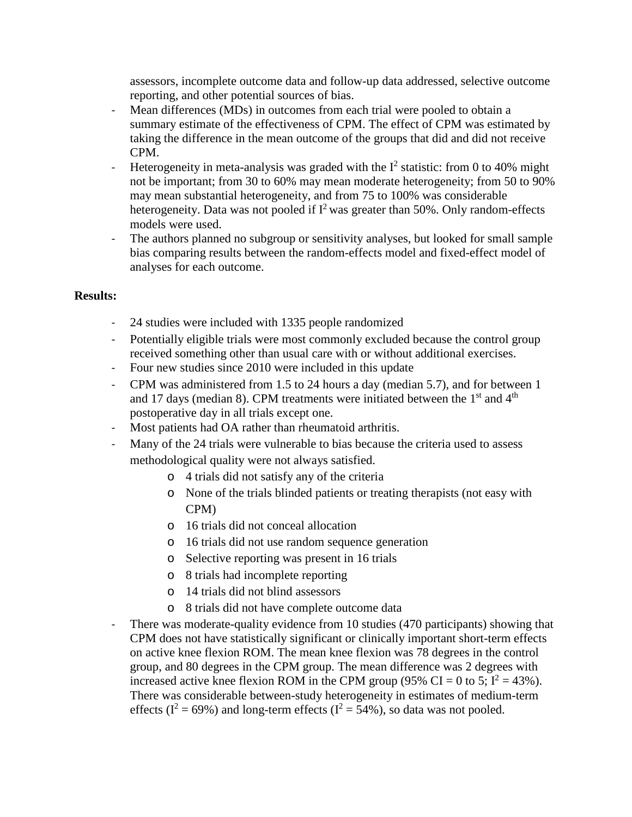assessors, incomplete outcome data and follow-up data addressed, selective outcome reporting, and other potential sources of bias.

- Mean differences (MDs) in outcomes from each trial were pooled to obtain a summary estimate of the effectiveness of CPM. The effect of CPM was estimated by taking the difference in the mean outcome of the groups that did and did not receive CPM.
- Heterogeneity in meta-analysis was graded with the  $I^2$  statistic: from 0 to 40% might not be important; from 30 to 60% may mean moderate heterogeneity; from 50 to 90% may mean substantial heterogeneity, and from 75 to 100% was considerable heterogeneity. Data was not pooled if  $I^2$  was greater than 50%. Only random-effects models were used.
- The authors planned no subgroup or sensitivity analyses, but looked for small sample bias comparing results between the random-effects model and fixed-effect model of analyses for each outcome.

## **Results:**

- 24 studies were included with 1335 people randomized
- Potentially eligible trials were most commonly excluded because the control group received something other than usual care with or without additional exercises.
- Four new studies since 2010 were included in this update
- CPM was administered from 1.5 to 24 hours a day (median 5.7), and for between 1 and 17 days (median 8). CPM treatments were initiated between the  $1<sup>st</sup>$  and  $4<sup>th</sup>$ postoperative day in all trials except one.
- Most patients had OA rather than rheumatoid arthritis.
- Many of the 24 trials were vulnerable to bias because the criteria used to assess methodological quality were not always satisfied.
	- o 4 trials did not satisfy any of the criteria
	- o None of the trials blinded patients or treating therapists (not easy with CPM)
	- o 16 trials did not conceal allocation
	- o 16 trials did not use random sequence generation
	- o Selective reporting was present in 16 trials
	- o 8 trials had incomplete reporting
	- o 14 trials did not blind assessors
	- o 8 trials did not have complete outcome data
- There was moderate-quality evidence from 10 studies (470 participants) showing that CPM does not have statistically significant or clinically important short-term effects on active knee flexion ROM. The mean knee flexion was 78 degrees in the control group, and 80 degrees in the CPM group. The mean difference was 2 degrees with increased active knee flexion ROM in the CPM group (95% CI = 0 to 5;  $I^2 = 43\%$ ). There was considerable between-study heterogeneity in estimates of medium-term effects ( $I^2 = 69\%$ ) and long-term effects ( $I^2 = 54\%$ ), so data was not pooled.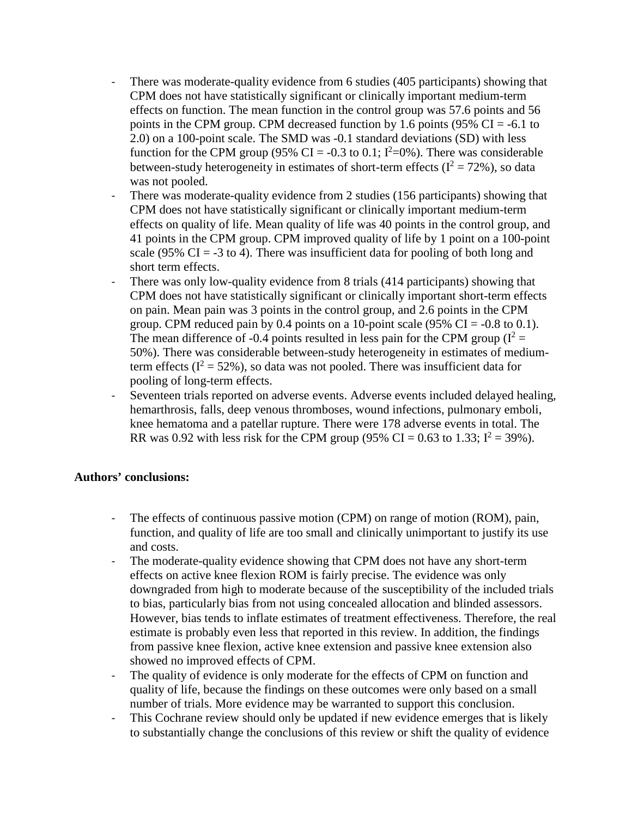- There was moderate-quality evidence from 6 studies (405 participants) showing that CPM does not have statistically significant or clinically important medium-term effects on function. The mean function in the control group was 57.6 points and 56 points in the CPM group. CPM decreased function by 1.6 points ( $95\%$  CI = -6.1 to 2.0) on a 100-point scale. The SMD was -0.1 standard deviations (SD) with less function for the CPM group (95% CI = -0.3 to 0.1;  $I^2=0$ %). There was considerable between-study heterogeneity in estimates of short-term effects ( $I^2 = 72\%$ ), so data was not pooled.
- There was moderate-quality evidence from 2 studies (156 participants) showing that CPM does not have statistically significant or clinically important medium-term effects on quality of life. Mean quality of life was 40 points in the control group, and 41 points in the CPM group. CPM improved quality of life by 1 point on a 100-point scale (95% CI = -3 to 4). There was insufficient data for pooling of both long and short term effects.
- There was only low-quality evidence from 8 trials (414 participants) showing that CPM does not have statistically significant or clinically important short-term effects on pain. Mean pain was 3 points in the control group, and 2.6 points in the CPM group. CPM reduced pain by 0.4 points on a 10-point scale (95% CI =  $-0.8$  to 0.1). The mean difference of -0.4 points resulted in less pain for the CPM group  $(I^2 =$ 50%). There was considerable between-study heterogeneity in estimates of mediumterm effects ( $I^2 = 52\%$ ), so data was not pooled. There was insufficient data for pooling of long-term effects.
- Seventeen trials reported on adverse events. Adverse events included delayed healing, hemarthrosis, falls, deep venous thromboses, wound infections, pulmonary emboli, knee hematoma and a patellar rupture. There were 178 adverse events in total. The RR was 0.92 with less risk for the CPM group (95% CI = 0.63 to 1.33;  $I^2 = 39\%$ ).

#### **Authors' conclusions:**

- The effects of continuous passive motion (CPM) on range of motion (ROM), pain, function, and quality of life are too small and clinically unimportant to justify its use and costs.
- The moderate-quality evidence showing that CPM does not have any short-term effects on active knee flexion ROM is fairly precise. The evidence was only downgraded from high to moderate because of the susceptibility of the included trials to bias, particularly bias from not using concealed allocation and blinded assessors. However, bias tends to inflate estimates of treatment effectiveness. Therefore, the real estimate is probably even less that reported in this review. In addition, the findings from passive knee flexion, active knee extension and passive knee extension also showed no improved effects of CPM.
- The quality of evidence is only moderate for the effects of CPM on function and quality of life, because the findings on these outcomes were only based on a small number of trials. More evidence may be warranted to support this conclusion.
- This Cochrane review should only be updated if new evidence emerges that is likely to substantially change the conclusions of this review or shift the quality of evidence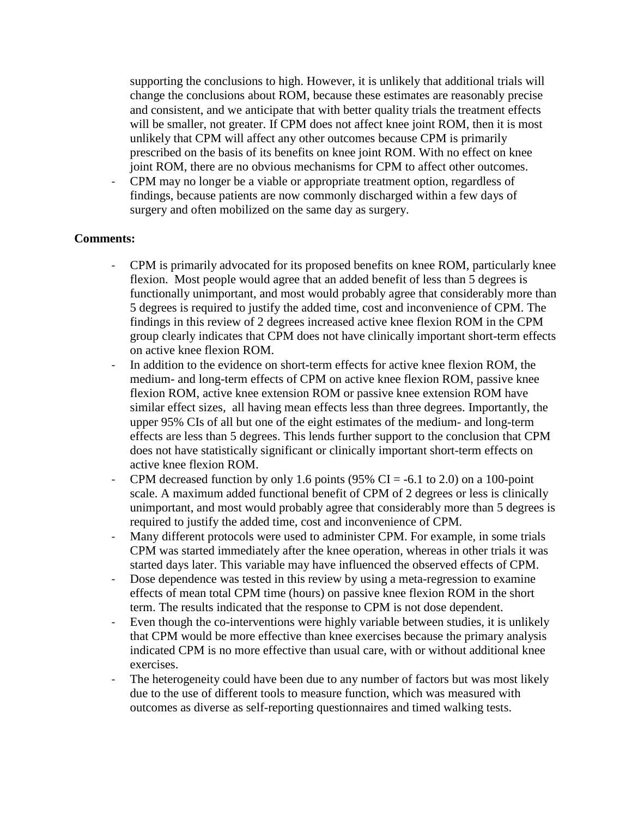supporting the conclusions to high. However, it is unlikely that additional trials will change the conclusions about ROM, because these estimates are reasonably precise and consistent, and we anticipate that with better quality trials the treatment effects will be smaller, not greater. If CPM does not affect knee joint ROM, then it is most unlikely that CPM will affect any other outcomes because CPM is primarily prescribed on the basis of its benefits on knee joint ROM. With no effect on knee joint ROM, there are no obvious mechanisms for CPM to affect other outcomes.

- CPM may no longer be a viable or appropriate treatment option, regardless of findings, because patients are now commonly discharged within a few days of surgery and often mobilized on the same day as surgery.

#### **Comments:**

- CPM is primarily advocated for its proposed benefits on knee ROM, particularly knee flexion. Most people would agree that an added benefit of less than 5 degrees is functionally unimportant, and most would probably agree that considerably more than 5 degrees is required to justify the added time, cost and inconvenience of CPM. The findings in this review of 2 degrees increased active knee flexion ROM in the CPM group clearly indicates that CPM does not have clinically important short-term effects on active knee flexion ROM.
- In addition to the evidence on short-term effects for active knee flexion ROM, the medium- and long-term effects of CPM on active knee flexion ROM, passive knee flexion ROM, active knee extension ROM or passive knee extension ROM have similar effect sizes, all having mean effects less than three degrees. Importantly, the upper 95% CIs of all but one of the eight estimates of the medium- and long-term effects are less than 5 degrees. This lends further support to the conclusion that CPM does not have statistically significant or clinically important short-term effects on active knee flexion ROM.
- CPM decreased function by only 1.6 points (95% CI =  $-6.1$  to 2.0) on a 100-point scale. A maximum added functional benefit of CPM of 2 degrees or less is clinically unimportant, and most would probably agree that considerably more than 5 degrees is required to justify the added time, cost and inconvenience of CPM.
- Many different protocols were used to administer CPM. For example, in some trials CPM was started immediately after the knee operation, whereas in other trials it was started days later. This variable may have influenced the observed effects of CPM.
- Dose dependence was tested in this review by using a meta-regression to examine effects of mean total CPM time (hours) on passive knee flexion ROM in the short term. The results indicated that the response to CPM is not dose dependent.
- Even though the co-interventions were highly variable between studies, it is unlikely that CPM would be more effective than knee exercises because the primary analysis indicated CPM is no more effective than usual care, with or without additional knee exercises.
- The heterogeneity could have been due to any number of factors but was most likely due to the use of different tools to measure function, which was measured with outcomes as diverse as self-reporting questionnaires and timed walking tests.